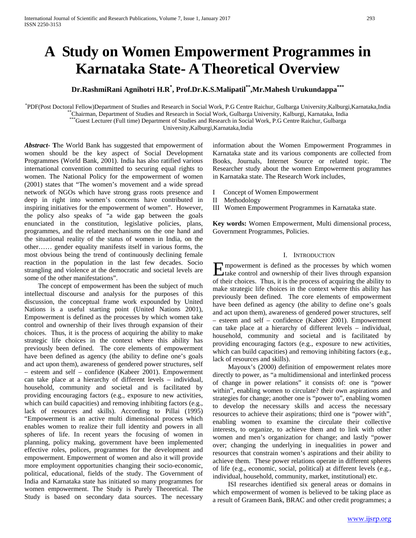# **A Study on Women Empowerment Programmes in Karnataka State- A Theoretical Overview**

## **Dr.RashmiRani Agnihotri H.R\* , Prof.Dr.K.S.Malipatil\*\*,Mr.Mahesh Urukundappa\*\*\***

PDF(Post Doctoral Fellow)Department of Studies and Research in Social Work, P.G Centre Raichur, Gulbarga University, Kalburgi, Karnataka, India PDF(Post Doctoral Fellow)Department of Studies and Research in Social Work, P.G Centre Raichur, Gulbarga University,Kalburgi,Karnataka,India<br>\*\*Chairman, Department of Studies and Research in Social Work, Gulbarga Universit

\*\*\*Guest Lecturer (Full time) Department of Studies and Research in Social Work, P.G Centre Raichur, Gulbarga

University,Kalburgi,Karnataka,India

*Abstract***- T**he World Bank has suggested that empowerment of women should be the key aspect of Social Development Programmes (World Bank, 2001). India has also ratified various international convention committed to securing equal rights to women. The National Policy for the empowerment of women (2001) states that "The women's movement and a wide spread network of NGOs which have strong grass roots presence and deep in right into women's concerns have contributed in inspiring initiatives for the empowerment of women". However, the policy also speaks of "a wide gap between the goals enunciated in the constitution, legislative policies, plans, programmes, and the related mechanisms on the one hand and the situational reality of the status of women in India, on the other…… gender equality manifests itself in various forms, the most obvious being the trend of continuously declining female reaction in the population in the last few decades. Socio strangling and violence at the democratic and societal levels are some of the other manifestations".

 The concept of empowerment has been the subject of much intellectual discourse and analysis for the purposes of this discussion, the conceptual frame work expounded by United Nations is a useful starting point (United Nations 2001), Empowerment is defined as the processes by which women take control and ownership of their lives through expansion of their choices. Thus, it is the process of acquiring the ability to make strategic life choices in the context where this ability has previously been defined. The core elements of empowerment have been defined as agency (the ability to define one's goals and act upon them), awareness of gendered power structures, self – esteem and self – confidence (Kabeer 2001). Empowerment can take place at a hierarchy of different levels – individual, household, community and societal and is facilitated by providing encouraging factors (e.g., exposure to new activities, which can build capacities) and removing inhibiting factors (e.g., lack of resources and skills). According to Pillai (1995) "Empowerment is an active multi dimensional process which enables women to realize their full identity and powers in all spheres of life. In recent years the focusing of women in planning, policy making, government have been implemented effective roles, polices, programmes for the development and empowerment. Empowerment of women and also it will provide more employment opportunities changing their socio-economic, political, educational, fields of the study. The Government of India and Karnataka state has initiated so many programmes for women empowerment. The Study is Purely Theoretical. The Study is based on secondary data sources. The necessary

information about the Women Empowerment Programmes in Karnataka state and its various components are collected from Books, Journals, Internet Source or related topic. The Researcher study about the women Empowerment programmes in Karnataka state. The Research Work includes,

- I Concept of Women Empowerment
- II Methodology
- III Women Empowerment Programmes in Karnataka state.

**Key words:** Women Empowerment, Multi dimensional process, Government Programmes, Policies.

## I. INTRODUCTION

mpowerment is defined as the processes by which women  $\sum$  mpowerment is defined as the processes by which women<br>take control and ownership of their lives through expansion of their choices. Thus, it is the process of acquiring the ability to make strategic life choices in the context where this ability has previously been defined. The core elements of empowerment have been defined as agency (the ability to define one's goals and act upon them), awareness of gendered power structures, self – esteem and self – confidence (Kabeer 2001). Empowerment can take place at a hierarchy of different levels – individual, household, community and societal and is facilitated by providing encouraging factors (e.g., exposure to new activities, which can build capacities) and removing inhibiting factors (e.g., lack of resources and skills).

 Mayoux's (2000) definition of empowerment relates more directly to power, as "a multidimensional and interlinked process of change in power relations" it consists of: one is "power within", enabling women to circulate? their own aspirations and strategies for change; another one is "power to", enabling women to develop the necessary skills and access the necessary resources to achieve their aspirations; third one is "power with", enabling women to examine the circulate their collective interests, to organize, to achieve them and to link with other women and men's organization for change; and lastly "power over; changing the underlying in inequalities in power and resources that constrain women's aspirations and their ability to achieve them. These power relations operate in different spheres of life (e.g., economic, social, political) at different levels (e.g., individual, household, community, market, institutional) etc.

 ISI researches identified six general areas or domains in which empowerment of women is believed to be taking place as a result of Grameen Bank, BRAC and other credit programmes; a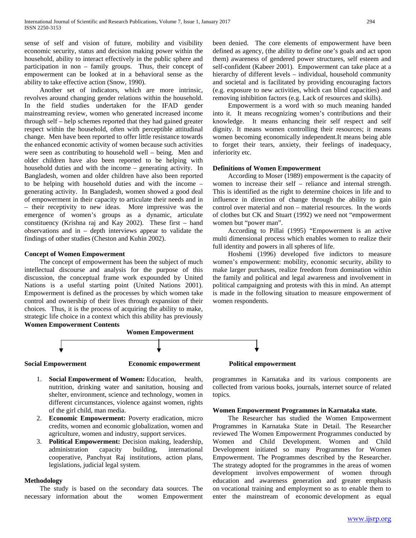sense of self and vision of future, mobility and visibility economic security, status and decision making power within the household, ability to interact effectively in the public sphere and participation in non – family groups. Thus, their concept of empowerment can be looked at in a behavioral sense as the ability to take effective action (Snow, 1990).

 Another set of indicators, which are more intrinsic, revolves around changing gender relations within the household. In the field studies undertaken for the IFAD gender mainstreaming review, women who generated increased income through self – help schemes reported that they had gained greater respect within the household, often with perceptible attitudinal change. Men have been reported to offer little resistance towards the enhanced economic activity of women because such activities were seen as contributing to household well – being. Men and older children have also been reported to be helping with household duties and with the income – generating activity. In Bangladesh, women and older children have also been reported to be helping with household duties and with the income – generating activity. In Bangladesh, women showed a good deal of empowerment in their capacity to articulate their needs and in – their receptivity to new ideas. More impressive was the emergence of women's groups as a dynamic, articulate constituency (Krishna raj and Kay 2002). These first – hand observations and in – depth interviews appear to validate the findings of other studies (Cheston and Kuhin 2002).

#### **Concept of Women Empowerment**

 The concept of empowerment has been the subject of much intellectual discourse and analysis for the purpose of this discussion, the conceptual frame work expounded by United Nations is a useful starting point (United Nations 2001). Empowerment is defined as the processes by which women take control and ownership of their lives through expansion of their choices. Thus, it is the process of acquiring the ability to make, strategic life choice in a context which this ability has previously **Women Empowerment Contents**

been denied. The core elements of empowerment have been defined as agency, (the ability to define one's goals and act upon them) awareness of gendered power structures, self esteem and self-confident (Kabeer 2001). Empowerment can take place at a hierarchy of different levels – individual, household community and societal and is facilitated by providing encouraging factors (e.g. exposure to new activities, which can blind capacities) and removing inhibition factors (e.g. Lack of resources and skills).

 Empowerment is a word with so much meaning handed into it. It means recognizing women's contributions and their knowledge. It means enhancing their self respect and self dignity. It means women controlling their resources; it means women becoming economically independent.It means being able to forget their tears, anxiety, their feelings of inadequacy, inferiority etc.

#### **Definitions of Women Empowerment**

 According to Moser (1989) empowerment is the capacity of women to increase their self – reliance and internal strength. This is identified as the right to determine choices in life and to influence in direction of change through the ability to gain control over material and non – material resources. In the words of clothes but CK and Stuart (1992) we need not "empowerment women but "power man".

 According to Pillai (1995) "Empowerment is an active multi dimensional process which enables women to realize their full identity and powers in all spheres of life.

 Hoshemi (1996) developed five indictors to measure women's empowerment: mobility, economic security, ability to make larger purchases, realize freedom from domination within the family and political and legal awareness and involvement in political campaigning and protests with this in mind. An attempt is made in the following situation to measure empowerment of women respondents.



- 1. **Social Empowerment of Women:** Education, health, nutrition, drinking water and sanitation, housing and shelter, environment, science and technology, women in different circumstances, violence against women, rights of the girl child, man media.
- 2. **Economic Empowerment:** Poverty eradication, micro credits, women and economic globalization, women and agriculture, women and industry, support services.
- 3. **Political Empowerment:** Decision making, leadership, administration capacity building, international cooperative, Panchyat Raj institutions, action plans, legislations, judicial legal system.

#### **Methodology**

 The study is based on the secondary data sources. The necessary information about the women Empowerment programmes in Karnataka and its various components are collected from various books, journals, internet source of related topics.

#### **Women Empowerment Programmes in Karnataka state.**

 The Researcher has studied the Women Empowerment Programmes in Karnataka State in Detail. The Researcher reviewed The Women Empowerment Programmes conducted by Women and Child Development. Women and Child Development initiated so many Programmes for Women Empowerment. The Programmes described by the Researcher. The strategy adopted for the programmes in the areas of women development involves empowerment of women through education and awareness generation and greater emphasis on vocational training and employment so as to enable them to enter the mainstream of economic development as equal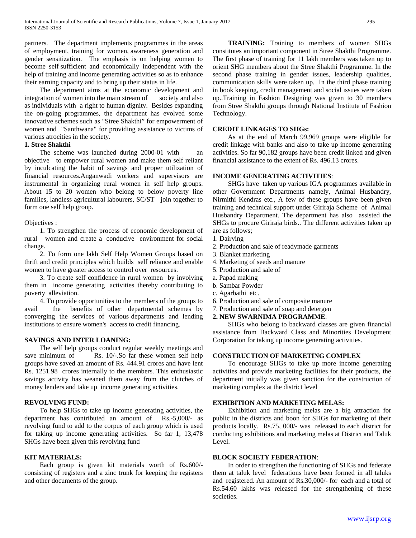partners. The department implements programmes in the areas of employment, training for women, awareness generation and gender sensitization. The emphasis is on helping women to become self sufficient and economically independent with the help of training and income generating activities so as to enhance their earning capacity and to bring up their status in life.

 The department aims at the economic development and integration of women into the main stream of society and also as individuals with a right to human dignity. Besides expanding the on-going programmes, the department has evolved some innovative schemes such as "Stree Shakthi" for empowerment of women and "Santhwana" for providing assistance to victims of various atrocities in the society.

#### **1. Stree Shakthi**

 The scheme was launched during 2000-01 with an objective to empower rural women and make them self reliant by inculcating the habit of savings and proper utilization of financial resources.Anganwadi workers and supervisors are instrumental in organizing rural women in self help groups. About 15 to 20 women who belong to below poverty line families, landless agricultural labourers, SC/ST join together to form one self help group.

#### Objectives :

 1. To strengthen the process of economic development of rural women and create a conducive environment for social change.

 2. To form one lakh Self Help Women Groups based on thrift and credit principles which builds self reliance and enable women to have greater access to control over resources.

 3. To create self confidence in rural women by involving them in income generating activities thereby contributing to poverty alleviation.

 4. To provide opportunities to the members of the groups to avail the benefits of other departmental schemes by converging the services of various departments and lending institutions to ensure women's access to credit financing.

## **SAVINGS AND INTER LOANING:**

 The self help groups conduct regular weekly meetings and save minimum of Rs. 10/-.So far these women self help groups have saved an amount of Rs. 444.91 crores and have lent Rs. 1251.98 crores internally to the members. This enthusiastic savings activity has weaned them away from the clutches of money lenders and take up income generating activities.

#### **REVOLVING FUND:**

 To help SHGs to take up income generating activities, the department has contributed an amount of Rs.-5,000/- as revolving fund to add to the corpus of each group which is used for taking up income generating activities. So far 1, 13,478 SHGs have been given this revolving fund

#### **KIT MATERIALS:**

 Each group is given kit materials worth of Rs.600/ consisting of registers and a zinc trunk for keeping the registers and other documents of the group.

 **TRAINING:** Training to members of women SHGs constitutes an important component in Stree Shakthi Programme. The first phase of training for 11 lakh members was taken up to orient SHG members about the Stree Shakthi Programme. In the second phase training in gender issues, leadership qualities, communication skills were taken up. In the third phase training in book keeping, credit management and social issues were taken up..Training in Fashion Designing was given to 30 members from Stree Shakthi groups through National Institute of Fashion Technology.

#### **CREDIT LINKAGES TO SHGs:**

 As at the end of March 99,969 groups were eligible for credit linkage with banks and also to take up income generating activities. So far 90,182 groups have been credit linked and given financial assistance to the extent of Rs. 496.13 crores.

#### **INCOME GENERATING ACTIVITIES**:

 SHGs have taken up various IGA programmes available in other Government Departments namely, Animal Husbandry, Nirmithi Kendras etc., A few of these groups have been given training and technical support under Giriraja Scheme of Animal Husbandry Department. The department has also assisted the SHGs to procure Giriraja birds.. The different activities taken up are as follows;

- 1. Dairying
- 2. Production and sale of readymade garments
- 3. Blanket marketing
- 4. Marketing of seeds and manure
- 5. Production and sale of
- a. Papad making
- b. Sambar Powder
- c. Agarbathi etc.
- 6. Production and sale of composite manure
- 7. Production and sale of soap and detergen

#### **2. NEW SWARNIMA PROGRAMME**:

 SHGs who belong to backward classes are given financial assistance from Backward Class and Minorities Development Corporation for taking up income generating activities.

## **CONSTRUCTION OF MARKETING COMPLEX**

 To encourage SHGs to take up more income generating activities and provide marketing facilities for their products, the department initially was given sanction for the construction of marketing complex at the district level

#### **EXHIBITION AND MARKETING MELAS:**

 Exhibition and marketing melas are a big attraction for public in the districts and boon for SHGs for marketing of their products locally. Rs.75, 000/- was released to each district for conducting exhibitions and marketing melas at District and Taluk Level.

#### **BLOCK SOCIETY FEDERATION**:

 In order to strengthen the functioning of SHGs and federate them at taluk level federations have been formed in all taluks and registered. An amount of Rs.30,000/- for each and a total of Rs.54.60 lakhs was released for the strengthening of these societies.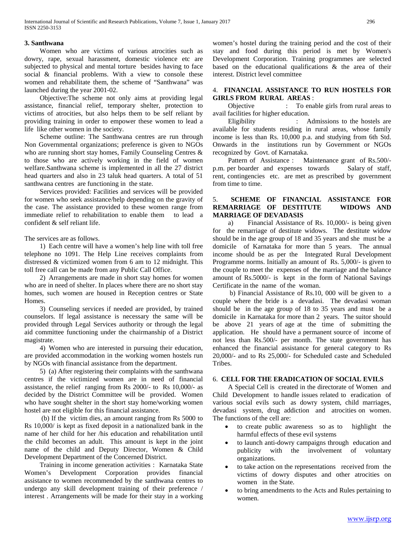## **3. Santhwana**

 Women who are victims of various atrocities such as dowry, rape, sexual harassment, domestic violence etc are subjected to physical and mental torture besides having to face social & financial problems. With a view to console these women and rehabilitate them, the scheme of "Santhwana" was launched during the year 2001-02.

 Objective:The scheme not only aims at providing legal assistance, financial relief, temporary shelter, protection to victims of atrocities, but also helps them to be self reliant by providing training in order to empower these women to lead a life like other women in the society.

 Scheme outline: The Santhwana centres are run through Non Governmental organizations; preference is given to NGOs who are running short stay homes, Family Counseling Centres & to those who are actively working in the field of women welfare.Santhwana scheme is implemented in all the 27 district head quarters and also in 23 taluk head quarters. A total of 51 santhwana centres are functioning in the state.

 Services provided: Facilities and services will be provided for women who seek assistance/help depending on the gravity of the case. The assistance provided to these women range from immediate relief to rehabilitation to enable them to lead a confident & self reliant life.

The services are as follows.

 1) Each centre will have a women's help line with toll free telephone no 1091. The Help Line receives complaints from distressed & victimized women from 6 am to 12 midnight. This toll free call can be made from any Public Call Office.

 2) Arrangements are made in short stay homes for women who are in need of shelter. In places where there are no short stay homes, such women are housed in Reception centres or State Homes.

 3) Counseling services if needed are provided, by trained counselors. If legal assistance is necessary the same will be provided through Legal Services authority or through the legal aid committee functioning under the chairmanship of a District magistrate.

 4) Women who are interested in pursuing their education, are provided accommodation in the working women hostels run by NGOs with financial assistance from the department.

 5) (a) After registering their complaints with the santhwana centres if the victimized women are in need of financial assistance, the relief ranging from Rs 2000/- to Rs 10,000/- as decided by the District Committee will be provided. Women who have sought shelter in the short stay home/working women hostel are not eligible for this financial assistance.

 (b) If the victim dies, an amount ranging from Rs 5000 to Rs 10,000/ is kept as fixed deposit in a nationalized bank in the name of her child for her /his education and rehabilitation until the child becomes an adult. This amount is kept in the joint name of the child and Deputy Director, Women & Child Development Department of the Concerned District.

 Training in income generation activities : Karnataka State Women's Development Corporation provides financial assistance to women recommended by the santhwana centres to undergo any skill development training of their preference / interest . Arrangements will be made for their stay in a working women's hostel during the training period and the cost of their stay and food during this period is met by Women's Development Corporation. Training programmes are selected based on the educational qualifications & the area of their interest. District level committee

## 4. **FINANCIAL ASSISTANCE TO RUN HOSTELS FOR GIRLS FROM RURAL AREAS** :

Objective : To enable girls from rural areas to avail facilities for higher education.

Eligibility : Admissions to the hostels are available for students residing in rural areas, whose family income is less than Rs. 10,000 p.a. and studying from 6th Std. Onwards in the institutions run by Government or NGOs recognized by Govt. of Karnataka.

Maintenance grant of Rs.500/p.m. per boarder and expenses towards Salary of staff, rent, contingencies etc. are met as prescribed by government from time to time.

## 5. **SCHEME OF FINANCIAL ASSISTANCE FOR REMARRIAGE OF DESTITUTE WIDOWS AND MARRIAGE OF DEVADASIS**

 a) Financial Assistance of Rs. 10,000/- is being given for the remarriage of destitute widows. The destitute widow should be in the age group of 18 and 35 years and she must be a domicile of Karnataka for more than 5 years. The annual income should be as per the Integrated Rural Development Programme norms. Initially an amount of Rs. 5,000/- is given to the couple to meet the expenses of the marriage and the balance amount of Rs.5000/- is kept in the form of National Savings Certificate in the name of the woman.

 b) Financial Assistance of Rs.10, 000 will be given to a couple where the bride is a devadasi. The devadasi woman should be in the age group of 18 to 35 years and must be a domicile in Karnataka for more than 2 years. The suitor should be above 21 years of age at the time of submitting the application. He should have a permanent source of income of not less than Rs.500/- per month. The state government has enhanced the financial assistance for general category to Rs 20,000/- and to Rs 25,000/- for Scheduled caste and Scheduled Tribes.

## 6. **CELL FOR THE ERADICATION OF SOCIAL EVILS**

 A Special Cell is created in the directorate of Women and Child Development to handle issues related to eradication of various social evils such as dowry system, child marriages, devadasi system, drug addiction and atrocities on women. The functions of the cell are:

- to create public awareness so as to highlight the harmful effects of these evil systems
- to launch anti-dowry campaigns through education and publicity with the involvement of voluntary organizations.
- to take action on the representations received from the victims of dowry disputes and other atrocities on women in the State.
- to bring amendments to the Acts and Rules pertaining to women.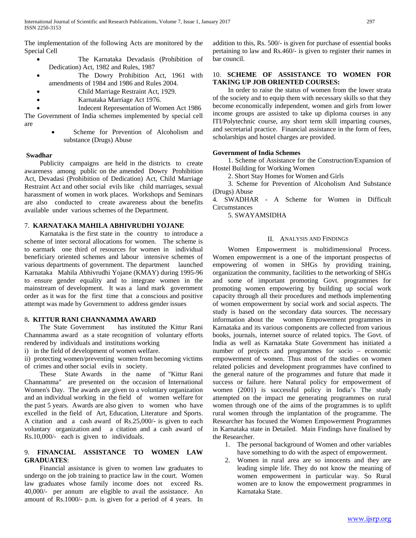The implementation of the following Acts are monitored by the Special Cell

- The Karnataka Devadasis (Prohibition of Dedication) Act, 1982 and Rules, 1987
- The Dowry Prohibition Act, 1961 with amendments of 1984 and 1986 and Rules 2004.
- Child Marriage Restraint Act, 1929.
- Karnataka Marriage Act 1976.

• Indecent Representation of Women Act 1986 The Government of India schemes implemented by special cell are

> Scheme for Prevention of Alcoholism and substance (Drugs) Abuse

## **Swadhar**

Publicity campaigns are held in the districts to create awareness among public on the amended Dowry Prohibition Act, Devadasi (Prohibition of Dedication) Act, Child Marriage Restraint Act and other social evils like child marriages, sexual harassment of women in work places. Workshops and Seminars are also conducted to create awareness about the benefits available under various schemes of the Department.

## 7. **KARNATAKA MAHILA ABHIVRUDHI YOJANE**

 Karnataka is the first state in the country to introduce a scheme of inter sectoral allocations for women. The scheme is to earmark one third of resources for women in individual beneficiary oriented schemes and labour intensive schemes of various departments of government. The department launched Karnataka Mahila Abhivrudhi Yojane (KMAY) during 1995-96 to ensure gender equality and to integrate women in the mainstream of development. It was a land mark government order as it was for the first time that a conscious and positive attempt was made by Government to address gender issues

## 8**. KITTUR RANI CHANNAMMA AWARD**

 The State Government has instituted the Kittur Rani Channamma award as a state recognition of voluntary efforts rendered by individuals and institutions working

i) in the field of development of women welfare.

ii) protecting women/preventing women from becoming victims of crimes and other social evils in society.

 These State Awards in the name of "Kittur Rani Channamma" are presented on the occasion of International Women's Day. The awards are given to a voluntary organization and an individual working in the field of women welfare for the past 5 years. Awards are also given to women who have excelled in the field of Art, Education, Literature and Sports. A citation and a cash award of Rs.25,000/- is given to each voluntary organization and a citation and a cash award of Rs.10,000/- each is given to individuals.

## 9. **FINANCIAL ASSISTANCE TO WOMEN LAW GRADUATES**:

 Financial assistance is given to women law graduates to undergo on the job training to practice law in the court. Women law graduates whose family income does not exceed Rs. 40,000/- per annum are eligible to avail the assistance. An amount of Rs.1000/- p.m. is given for a period of 4 years. In

addition to this, Rs. 500/- is given for purchase of essential books pertaining to law and Rs.460/- is given to register their names in bar council.

## 10. **SCHEME OF ASSISTANCE TO WOMEN FOR TAKING UP JOB ORIENTED COURSES:**

 In order to raise the status of women from the lower strata of the society and to equip them with necessary skills so that they become economically independent, women and girls from lower income groups are assisted to take up diploma courses in any ITI/Polytechnic course, any short term skill imparting courses, and secretarial practice. Financial assistance in the form of fees, scholarships and hostel charges are provided.

## **Government of India Schemes**

 1. Scheme of Assistance for the Construction/Expansion of Hostel Building for Working Women

2. Short Stay Homes for Women and Girls

 3. Scheme for Prevention of Alcoholism And Substance (Drugs) Abuse

4. SWADHAR - A Scheme for Women in Difficult **Circumstances** 

5. SWAYAMSIDHA

## II. ANALYSIS AND FINDINGS

 Women Empowerment is multidimensional Process. Women empowerment is a one of the important prospectus of empowering of women in SHGs by providing training, organization the community, facilities to the networking of SHGs and some of important promoting Govt. programmes for promoting women empowering by building up social work capacity through all their procedures and methods implementing of women empowerment by social work and social aspects. The study is based on the secondary data sources. The necessary information about the women Empowerment programmes in Karnataka and its various components are collected from various books, journals, internet source of related topics. The Govt. of India as well as Karnataka State Government has initiated a number of projects and programmes for socio – economic empowerment of women. Thus most of the studies on women related policies and development programmes have confined to the general nature of the programmes and future that made it success or failure. here Natural policy for empowerment of women (2001) is successful policy in India's The study attempted on the impact me generating programmes on rural women through one of the aims of the programmes is to uplift rural women through the implantation of the programme. The Researcher has focused the Women Empowerment Programmes in Karnataka state in Detailed. Main Findings have finalised by the Researcher.

- 1. The personal background of Women and other variables have something to do with the aspect of empowerment.
- 2. Women in rural area are so innocents and they are leading simple life. They do not know the meaning of women empowerment in particular way. So Rural women are to know the empowerment programmes in Karnataka State.